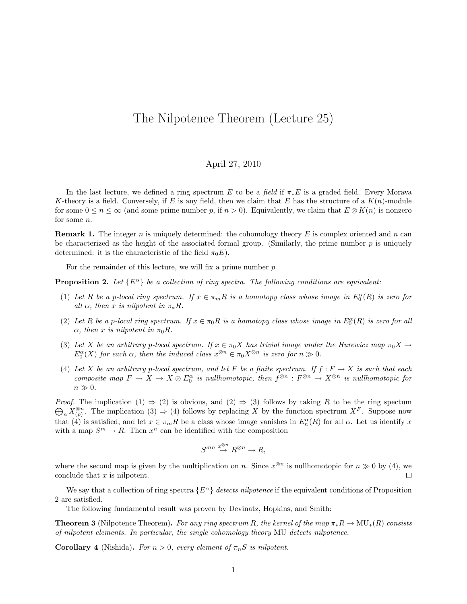## The Nilpotence Theorem (Lecture 25)

## April 27, 2010

In the last lecture, we defined a ring spectrum E to be a field if  $\pi_* E$  is a graded field. Every Morava K-theory is a field. Conversely, if E is any field, then we claim that E has the structure of a  $K(n)$ -module for some  $0 \le n \le \infty$  (and some prime number p, if  $n > 0$ ). Equivalently, we claim that  $E \otimes K(n)$  is nonzero for some n.

**Remark 1.** The integer n is uniquely determined: the cohomology theory  $E$  is complex oriented and  $n$  can be characterized as the height of the associated formal group. (Similarly, the prime number  $p$  is uniquely determined: it is the characteristic of the field  $\pi_0 E$ ).

For the remainder of this lecture, we will fix a prime number p.

**Proposition 2.** Let  $\{E^{\alpha}\}\$ be a collection of ring spectra. The following conditions are equivalent:

- (1) Let R be a p-local ring spectrum. If  $x \in \pi_m R$  is a homotopy class whose image in  $E_0^{\alpha}(R)$  is zero for all  $\alpha$ , then x is nilpotent in  $\pi_* R$ .
- (2) Let R be a p-local ring spectrum. If  $x \in \pi_0 R$  is a homotopy class whose image in  $E_0^{\alpha}(R)$  is zero for all  $\alpha$ , then x is nilpotent in  $\pi_0 R$ .
- (3) Let X be an arbitrary p-local spectrum. If  $x \in \pi_0 X$  has trivial image under the Hurewicz map  $\pi_0 X \to$  $E_0^{\alpha}(X)$  for each  $\alpha$ , then the induced class  $x^{\otimes n} \in \pi_0 X^{\otimes n}$  is zero for  $n \gg 0$ .
- (4) Let X be an arbitrary p-local spectrum, and let F be a finite spectrum. If  $f : F \to X$  is such that each composite map  $F \to X \to X \otimes E_0^{\alpha}$  is nullhomotopic, then  $f^{\otimes n} : F^{\otimes n} \to X^{\otimes n}$  is nullhomotopic for  $n \gg 0$ .

 $\bigoplus_n X_{(p)}^{\otimes n}$ . The implication  $(3) \Rightarrow (4)$  follows by replacing X by the function spectrum  $X^F$ . Suppose now *Proof.* The implication (1)  $\Rightarrow$  (2) is obvious, and (2)  $\Rightarrow$  (3) follows by taking R to be the ring spectum that  $\widetilde{A}$  is satisfied, and let  $x \in \pi_m R$  be a class whose image vanishes in  $E_n^{\alpha}(R)$  for all  $\alpha$ . Let us identify x with a map  $S^m \to R$ . Then  $x^n$  can be identified with the composition

$$
S^{mn} \stackrel{x^{\otimes n}}{\to} R^{\otimes n} \to R,
$$

where the second map is given by the multiplication on n. Since  $x^{\otimes n}$  is nullhomotopic for  $n \gg 0$  by (4), we conclude that x is nilpotent.  $\Box$ 

We say that a collection of ring spectra  $\{E^{\alpha}\}\$  detects nilpotence if the equivalent conditions of Proposition 2 are satisfied.

The following fundamental result was proven by Devinatz, Hopkins, and Smith:

**Theorem 3** (Nilpotence Theorem). For any ring spectrum R, the kernel of the map  $\pi_*R \to MU_*(R)$  consists of nilpotent elements. In particular, the single cohomology theory MU detects nilpotence.

**Corollary 4** (Nishida). For  $n > 0$ , every element of  $\pi_n S$  is nilpotent.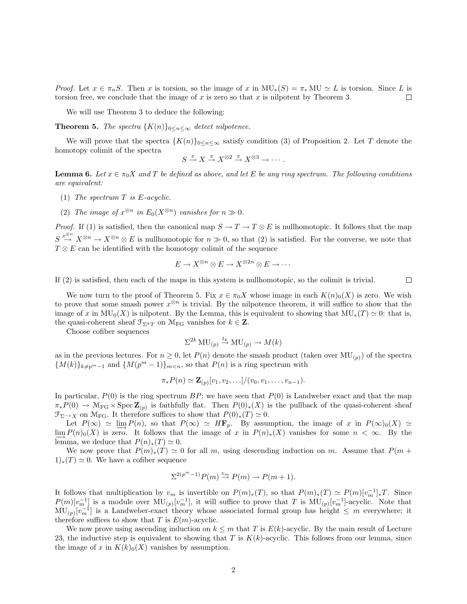*Proof.* Let  $x \in \pi_n S$ . Then x is torsion, so the image of x in  $MU_*(S) = \pi_* MU \simeq L$  is torsion. Since L is torsion free, we conclude that the image of  $x$  is zero so that  $x$  is nilpotent by Theorem 3.  $\Box$ 

We will use Theorem 3 to deduce the following:

**Theorem 5.** The spectra  $\{K(n)\}_{0 \leq n \leq \infty}$  detect nilpotence.

We will prove that the spectra  ${K(n)}_{0 \leq n \leq \infty}$  satisfy condition (3) of Proposition 2. Let T denote the homotopy colimit of the spectra

$$
S \xrightarrow{x} X \xrightarrow{x} X^{\otimes 2} \xrightarrow{x} X^{\otimes 3} \rightarrow \cdots.
$$

**Lemma 6.** Let  $x \in \pi_0 X$  and T be defined as above, and let E be any ring spectrum. The following conditions are equivalent:

- (1) The spectrum  $T$  is  $E$ -acyclic.
- (2) The image of  $x^{\otimes n}$  in  $E_0(X^{\otimes n})$  vanishes for  $n \gg 0$ .

*Proof.* If (1) is satisfied, then the canonical map  $S \to T \to T \otimes E$  is nullhomotopic. It follows that the map  $S \stackrel{x^{\otimes n}}{\rightarrow} X^{\otimes n} \rightarrow X^{\otimes n} \otimes E$  is nullhomotopic for  $n \gg 0$ , so that (2) is satisfied. For the converse, we note that  $T \otimes E$  can be identified with the homotopy colimit of the sequence

$$
E \to X^{\otimes n} \otimes E \to X^{\otimes 2n} \otimes E \to \cdots
$$

If (2) is satisfied, then each of the maps in this system is nullhomotopic, so the colimit is trivial.  $\Box$ 

We now turn to the proof of Theorem 5. Fix  $x \in \pi_0 X$  whose image in each  $K(n)_0(X)$  is zero. We wish to prove that some smash power  $x^{\otimes n}$  is trivial. By the nilpotence theorem, it will suffice to show that the image of x in  $MU_0(X)$  is nilpotent. By the Lemma, this is equivalent to showing that  $MU_*(T) \simeq 0$ : that is, the quasi-coherent sheaf  $\mathfrak{F}_{\Sigma^k T}$  on  $\mathcal{M}_{\mathrm{FG}}$  vanishes for  $k \in \mathbb{Z}$ .

Choose cofiber sequences

$$
\Sigma^{2k} \text{MU}_{(p)} \stackrel{t_k}{\to} \text{MU}_{(p)} \to M(k)
$$

as in the previous lectures. For  $n \geq 0$ , let  $P(n)$  denote the smash product (taken over  $MU_{(p)}$ ) of the spectra  ${M(k)}_{k \neq p^m-1}$  and  ${M(p^m-1)}_{m \leq n}$ , so that  $P(n)$  is a ring spectrum with

$$
\pi_* P(n) \simeq \mathbf{Z}_{(p)}[v_1, v_2, \ldots]/(v_0, v_1, \ldots, v_{n-1}).
$$

In particular,  $P(0)$  is the ring spectrum BP; we have seen that  $P(0)$  is Landweber exact and that the map  $\pi_*P(0) \to \mathcal{M}_{FG} \times \operatorname{Spec} \mathbb{Z}_{(p)}$  is faithfully flat. Then  $P(0)_*(X)$  is the pullback of the quasi-coherent sheaf  $\mathfrak{F}_{\Sigma^{-*}X}$  on  $\mathfrak{M}_{\mathrm{FG}}$ . It therefore suffices to show that  $P(0)_*(T) \simeq 0$ .

Let  $P(\infty) \simeq \varinjlim P(n)$ , so that  $P(\infty) \simeq H\mathbf{F}_p$ . By assumption, the image of x in  $P(\infty)_0(X) \simeq P(\infty)_0(X)$ .  $\lim_{n \to \infty} P(n)_0(X)$  is zero. It follows that the image of x in  $P(n)_*(X)$  vanishes for some  $n < \infty$ . By the lemma, we deduce that  $P(n)_*(T) \simeq 0$ .

We now prove that  $P(m)_*(T) \simeq 0$  for all m, using descending induction on m. Assume that  $P(m +$  $1)_*(T) \simeq 0$ . We have a cofiber sequence

$$
\Sigma^{2(p^m-1)} P(m) \stackrel{v_m}{\rightarrow} P(m) \rightarrow P(m+1).
$$

It follows that multiplication by  $v_m$  is invertible on  $P(m)_*(T)$ , so that  $P(m)_*(T) \simeq P(m)[v_m^{-1}]_*T$ . Since  $P(m)[v_m^{-1}]$  is a module over  $\text{MU}_{(p)}[v_m^{-1}]$ , it will suffice to prove that T is  $\text{MU}_{(p)}[v_m^{-1}]$ -acyclic. Note that  $MU_{(p)}[v_m^{-1}]$  is a Landweber-exact theory whose associated formal group has height  $\leq m$  everywhere; it therefore suffices to show that T is  $E(m)$ -acyclic.

We now prove using ascending induction on  $k \leq m$  that T is  $E(k)$ -acyclic. By the main result of Lecture 23, the inductive step is equivalent to showing that T is  $K(k)$ -acyclic. This follows from our lemma, since the image of x in  $K(k)_0(X)$  vanishes by assumption.